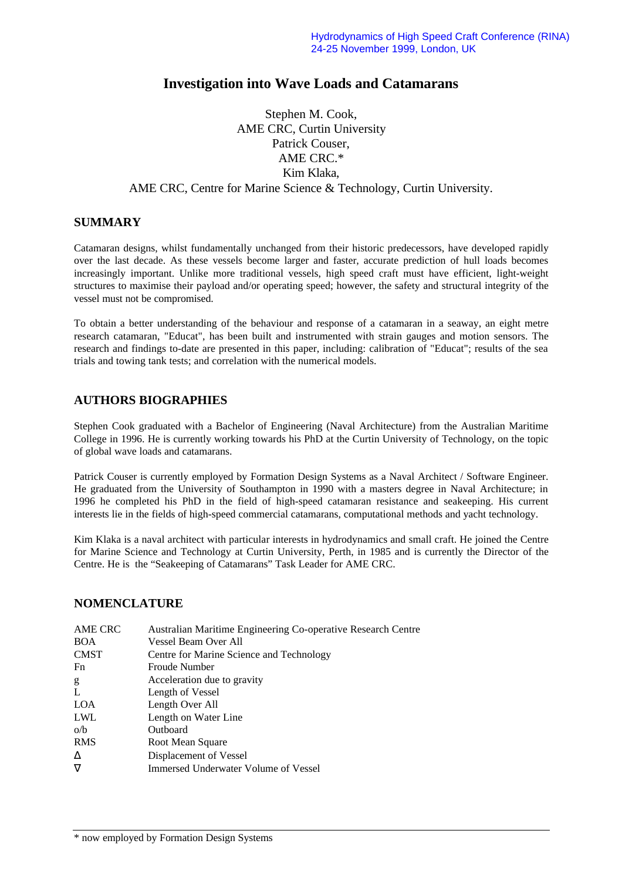# **Investigation into Wave Loads and Catamarans**

### Stephen M. Cook, AME CRC, Curtin University Patrick Couser, AME CRC.\* Kim Klaka, AME CRC, Centre for Marine Science & Technology, Curtin University.

### **SUMMARY**

Catamaran designs, whilst fundamentally unchanged from their historic predecessors, have developed rapidly over the last decade. As these vessels become larger and faster, accurate prediction of hull loads becomes increasingly important. Unlike more traditional vessels, high speed craft must have efficient, light-weight structures to maximise their payload and/or operating speed; however, the safety and structural integrity of the vessel must not be compromised.

To obtain a better understanding of the behaviour and response of a catamaran in a seaway, an eight metre research catamaran, "Educat", has been built and instrumented with strain gauges and motion sensors. The research and findings to-date are presented in this paper, including: calibration of "Educat"; results of the sea trials and towing tank tests; and correlation with the numerical models.

### **AUTHORS BIOGRAPHIES**

Stephen Cook graduated with a Bachelor of Engineering (Naval Architecture) from the Australian Maritime College in 1996. He is currently working towards his PhD at the Curtin University of Technology, on the topic of global wave loads and catamarans.

Patrick Couser is currently employed by Formation Design Systems as a Naval Architect / Software Engineer. He graduated from the University of Southampton in 1990 with a masters degree in Naval Architecture; in 1996 he completed his PhD in the field of high-speed catamaran resistance and seakeeping. His current interests lie in the fields of high-speed commercial catamarans, computational methods and yacht technology.

Kim Klaka is a naval architect with particular interests in hydrodynamics and small craft. He joined the Centre for Marine Science and Technology at Curtin University, Perth, in 1985 and is currently the Director of the Centre. He is the "Seakeeping of Catamarans" Task Leader for AME CRC.

#### **NOMENCLATURE**

| AME CRC     | Australian Maritime Engineering Co-operative Research Centre |
|-------------|--------------------------------------------------------------|
| <b>BOA</b>  | Vessel Beam Over All                                         |
| <b>CMST</b> | Centre for Marine Science and Technology                     |
| Fn          | <b>Froude Number</b>                                         |
| g           | Acceleration due to gravity                                  |
| L           | Length of Vessel                                             |
| <b>LOA</b>  | Length Over All                                              |
| LWL         | Length on Water Line                                         |
| o/b         | Outboard                                                     |
| <b>RMS</b>  | Root Mean Square                                             |
| Δ           | Displacement of Vessel                                       |
| $\nabla$    | Immersed Underwater Volume of Vessel                         |
|             |                                                              |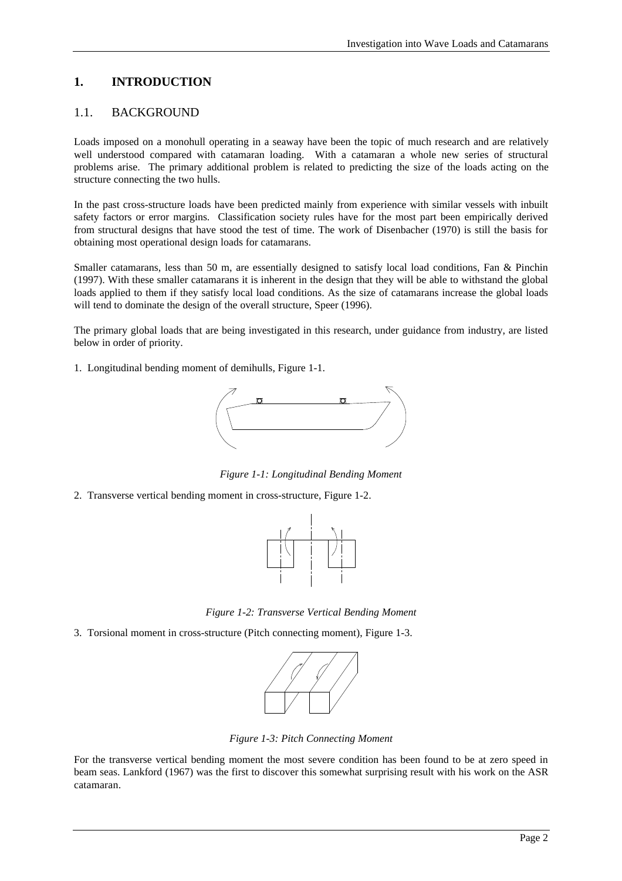### **1. INTRODUCTION**

### 1.1. BACKGROUND

Loads imposed on a monohull operating in a seaway have been the topic of much research and are relatively well understood compared with catamaran loading. With a catamaran a whole new series of structural problems arise. The primary additional problem is related to predicting the size of the loads acting on the structure connecting the two hulls.

In the past cross-structure loads have been predicted mainly from experience with similar vessels with inbuilt safety factors or error margins. Classification society rules have for the most part been empirically derived from structural designs that have stood the test of time. The work of Disenbacher (1970) is still the basis for obtaining most operational design loads for catamarans.

Smaller catamarans, less than 50 m, are essentially designed to satisfy local load conditions, Fan & Pinchin (1997). With these smaller catamarans it is inherent in the design that they will be able to withstand the global loads applied to them if they satisfy local load conditions. As the size of catamarans increase the global loads will tend to dominate the design of the overall structure, Speer (1996).

The primary global loads that are being investigated in this research, under guidance from industry, are listed below in order of priority.

1. Longitudinal bending moment of demihulls, Figure 1-1.



*Figure 1-1: Longitudinal Bending Moment*

2. Transverse vertical bending moment in cross-structure, Figure 1-2.



*Figure 1-2: Transverse Vertical Bending Moment*

3. Torsional moment in cross-structure (Pitch connecting moment), Figure 1-3.



*Figure 1-3: Pitch Connecting Moment*

For the transverse vertical bending moment the most severe condition has been found to be at zero speed in beam seas. Lankford (1967) was the first to discover this somewhat surprising result with his work on the ASR catamaran.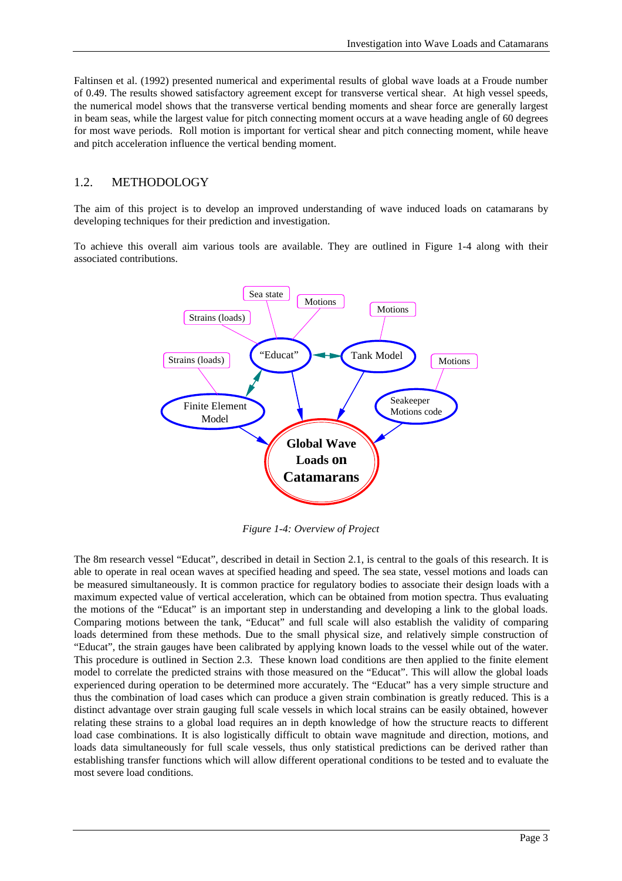Faltinsen et al. (1992) presented numerical and experimental results of global wave loads at a Froude number of 0.49. The results showed satisfactory agreement except for transverse vertical shear. At high vessel speeds, the numerical model shows that the transverse vertical bending moments and shear force are generally largest in beam seas, while the largest value for pitch connecting moment occurs at a wave heading angle of 60 degrees for most wave periods. Roll motion is important for vertical shear and pitch connecting moment, while heave and pitch acceleration influence the vertical bending moment.

### 1.2. METHODOLOGY

The aim of this project is to develop an improved understanding of wave induced loads on catamarans by developing techniques for their prediction and investigation.

To achieve this overall aim various tools are available. They are outlined in Figure 1-4 along with their associated contributions.



*Figure 1-4: Overview of Project*

The 8m research vessel "Educat", described in detail in Section 2.1, is central to the goals of this research. It is able to operate in real ocean waves at specified heading and speed. The sea state, vessel motions and loads can be measured simultaneously. It is common practice for regulatory bodies to associate their design loads with a maximum expected value of vertical acceleration, which can be obtained from motion spectra. Thus evaluating the motions of the "Educat" is an important step in understanding and developing a link to the global loads. Comparing motions between the tank, "Educat" and full scale will also establish the validity of comparing loads determined from these methods. Due to the small physical size, and relatively simple construction of "Educat", the strain gauges have been calibrated by applying known loads to the vessel while out of the water. This procedure is outlined in Section 2.3. These known load conditions are then applied to the finite element model to correlate the predicted strains with those measured on the "Educat". This will allow the global loads experienced during operation to be determined more accurately. The "Educat" has a very simple structure and thus the combination of load cases which can produce a given strain combination is greatly reduced. This is a distinct advantage over strain gauging full scale vessels in which local strains can be easily obtained, however relating these strains to a global load requires an in depth knowledge of how the structure reacts to different load case combinations. It is also logistically difficult to obtain wave magnitude and direction, motions, and loads data simultaneously for full scale vessels, thus only statistical predictions can be derived rather than establishing transfer functions which will allow different operational conditions to be tested and to evaluate the most severe load conditions.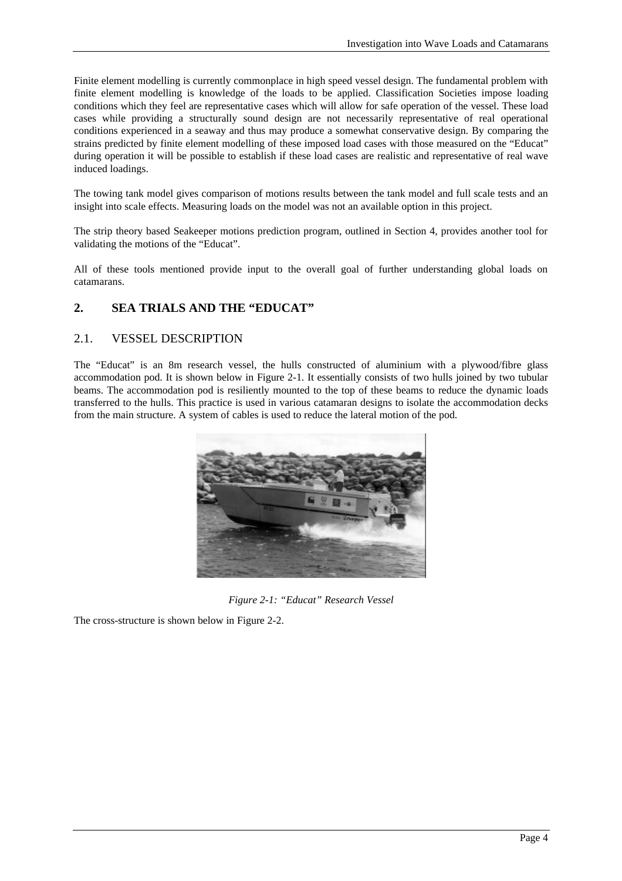Finite element modelling is currently commonplace in high speed vessel design. The fundamental problem with finite element modelling is knowledge of the loads to be applied. Classification Societies impose loading conditions which they feel are representative cases which will allow for safe operation of the vessel. These load cases while providing a structurally sound design are not necessarily representative of real operational conditions experienced in a seaway and thus may produce a somewhat conservative design. By comparing the strains predicted by finite element modelling of these imposed load cases with those measured on the "Educat" during operation it will be possible to establish if these load cases are realistic and representative of real wave induced loadings.

The towing tank model gives comparison of motions results between the tank model and full scale tests and an insight into scale effects. Measuring loads on the model was not an available option in this project.

The strip theory based Seakeeper motions prediction program, outlined in Section 4, provides another tool for validating the motions of the "Educat".

All of these tools mentioned provide input to the overall goal of further understanding global loads on catamarans.

### **2. SEA TRIALS AND THE "EDUCAT"**

### 2.1. VESSEL DESCRIPTION

The "Educat" is an 8m research vessel, the hulls constructed of aluminium with a plywood/fibre glass accommodation pod. It is shown below in Figure 2-1. It essentially consists of two hulls joined by two tubular beams. The accommodation pod is resiliently mounted to the top of these beams to reduce the dynamic loads transferred to the hulls. This practice is used in various catamaran designs to isolate the accommodation decks from the main structure. A system of cables is used to reduce the lateral motion of the pod.



*Figure 2-1: "Educat" Research Vessel*

The cross-structure is shown below in Figure 2-2.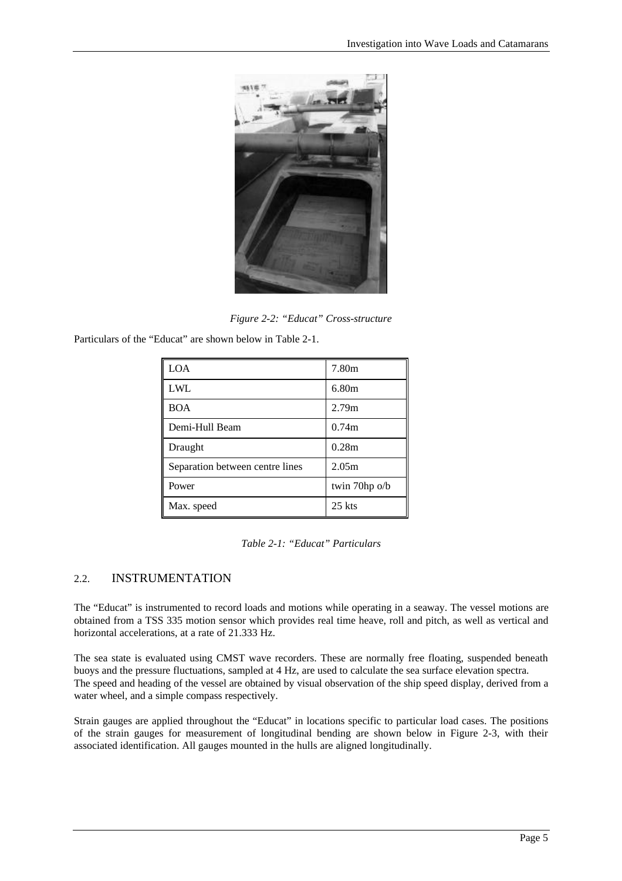

*Figure 2-2: "Educat" Cross-structure*

Particulars of the "Educat" are shown below in Table 2-1.

| <b>LOA</b>                      | 7.80m            |
|---------------------------------|------------------|
| <b>LWL</b>                      | 6.80m            |
| <b>BOA</b>                      | 2.79m            |
| Demi-Hull Beam                  | 0.74m            |
| Draught                         | 0.28m            |
| Separation between centre lines | 2.05m            |
| Power                           | twin $70$ hp o/b |
| Max. speed                      | $25$ kts         |

*Table 2-1: "Educat" Particulars*

### 2.2. INSTRUMENTATION

The "Educat" is instrumented to record loads and motions while operating in a seaway. The vessel motions are obtained from a TSS 335 motion sensor which provides real time heave, roll and pitch, as well as vertical and horizontal accelerations, at a rate of 21.333 Hz.

The sea state is evaluated using CMST wave recorders. These are normally free floating, suspended beneath buoys and the pressure fluctuations, sampled at 4 Hz, are used to calculate the sea surface elevation spectra. The speed and heading of the vessel are obtained by visual observation of the ship speed display, derived from a water wheel, and a simple compass respectively.

Strain gauges are applied throughout the "Educat" in locations specific to particular load cases. The positions of the strain gauges for measurement of longitudinal bending are shown below in Figure 2-3, with their associated identification. All gauges mounted in the hulls are aligned longitudinally.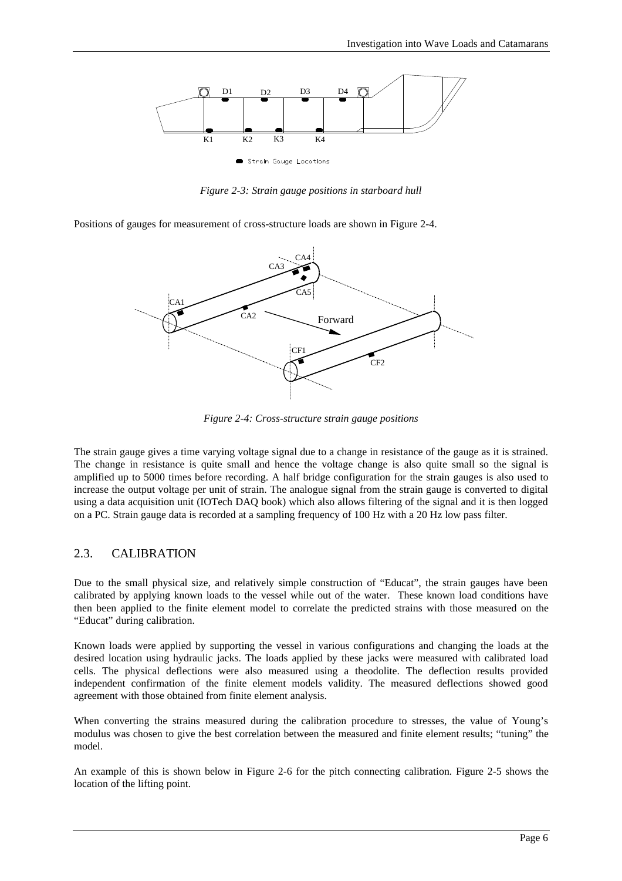

*Figure 2-3: Strain gauge positions in starboard hull*

Positions of gauges for measurement of cross-structure loads are shown in Figure 2-4.



*Figure 2-4: Cross-structure strain gauge positions*

The strain gauge gives a time varying voltage signal due to a change in resistance of the gauge as it is strained. The change in resistance is quite small and hence the voltage change is also quite small so the signal is amplified up to 5000 times before recording. A half bridge configuration for the strain gauges is also used to increase the output voltage per unit of strain. The analogue signal from the strain gauge is converted to digital using a data acquisition unit (IOTech DAQ book) which also allows filtering of the signal and it is then logged on a PC. Strain gauge data is recorded at a sampling frequency of 100 Hz with a 20 Hz low pass filter.

#### 2.3. CALIBRATION

Due to the small physical size, and relatively simple construction of "Educat", the strain gauges have been calibrated by applying known loads to the vessel while out of the water. These known load conditions have then been applied to the finite element model to correlate the predicted strains with those measured on the "Educat" during calibration.

Known loads were applied by supporting the vessel in various configurations and changing the loads at the desired location using hydraulic jacks. The loads applied by these jacks were measured with calibrated load cells. The physical deflections were also measured using a theodolite. The deflection results provided independent confirmation of the finite element models validity. The measured deflections showed good agreement with those obtained from finite element analysis.

When converting the strains measured during the calibration procedure to stresses, the value of Young's modulus was chosen to give the best correlation between the measured and finite element results; "tuning" the model.

An example of this is shown below in Figure 2-6 for the pitch connecting calibration. Figure 2-5 shows the location of the lifting point.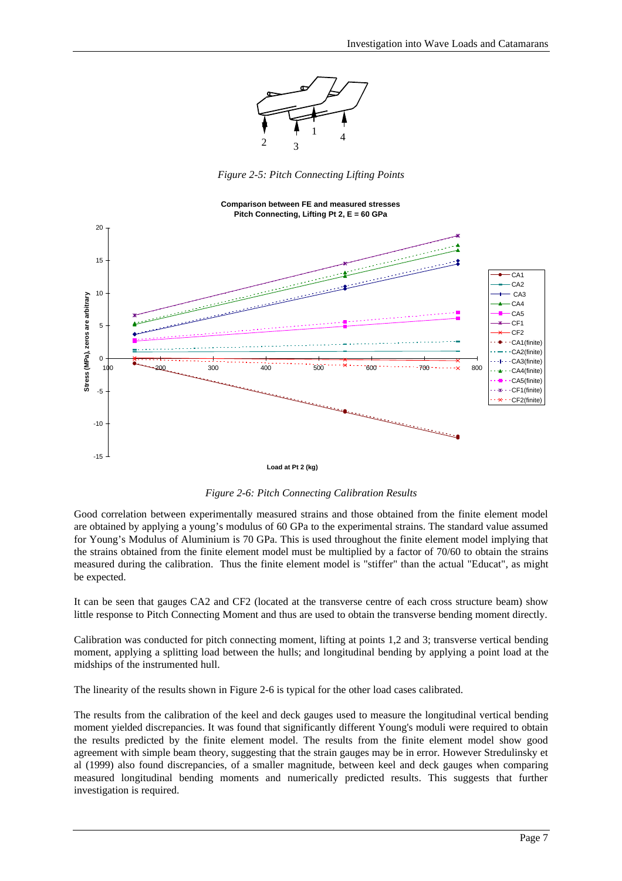

*Figure 2-5: Pitch Connecting Lifting Points*



*Figure 2-6: Pitch Connecting Calibration Results*

Good correlation between experimentally measured strains and those obtained from the finite element model are obtained by applying a young's modulus of 60 GPa to the experimental strains. The standard value assumed for Young's Modulus of Aluminium is 70 GPa. This is used throughout the finite element model implying that the strains obtained from the finite element model must be multiplied by a factor of 70/60 to obtain the strains measured during the calibration. Thus the finite element model is "stiffer" than the actual "Educat", as might be expected.

It can be seen that gauges CA2 and CF2 (located at the transverse centre of each cross structure beam) show little response to Pitch Connecting Moment and thus are used to obtain the transverse bending moment directly.

Calibration was conducted for pitch connecting moment, lifting at points 1,2 and 3; transverse vertical bending moment, applying a splitting load between the hulls; and longitudinal bending by applying a point load at the midships of the instrumented hull.

The linearity of the results shown in Figure 2-6 is typical for the other load cases calibrated.

The results from the calibration of the keel and deck gauges used to measure the longitudinal vertical bending moment yielded discrepancies. It was found that significantly different Young's moduli were required to obtain the results predicted by the finite element model. The results from the finite element model show good agreement with simple beam theory, suggesting that the strain gauges may be in error. However Stredulinsky et al (1999) also found discrepancies, of a smaller magnitude, between keel and deck gauges when comparing measured longitudinal bending moments and numerically predicted results. This suggests that further investigation is required.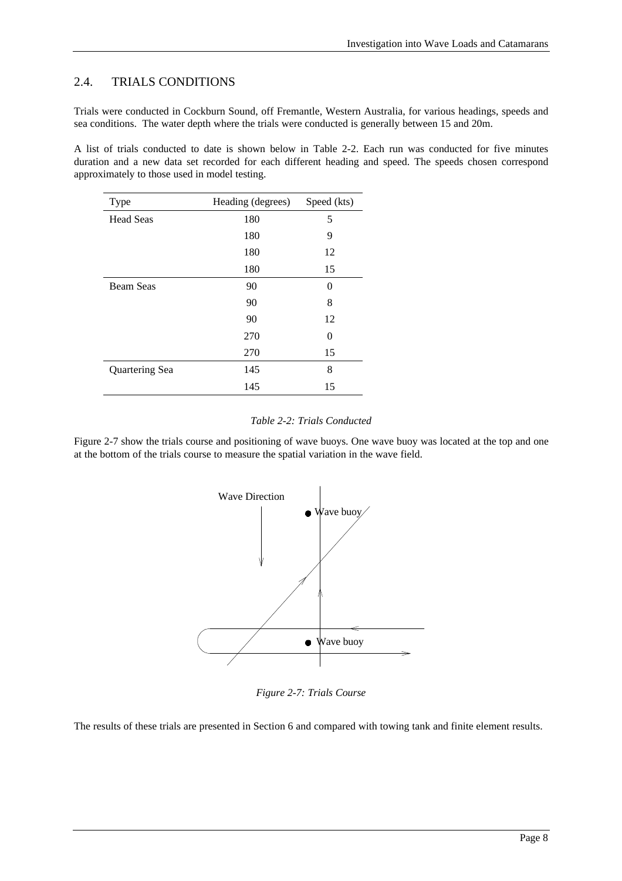### 2.4. TRIALS CONDITIONS

Trials were conducted in Cockburn Sound, off Fremantle, Western Australia, for various headings, speeds and sea conditions. The water depth where the trials were conducted is generally between 15 and 20m.

A list of trials conducted to date is shown below in Table 2-2. Each run was conducted for five minutes duration and a new data set recorded for each different heading and speed. The speeds chosen correspond approximately to those used in model testing.

| Type             | Heading (degrees) | Speed (kts) |
|------------------|-------------------|-------------|
| <b>Head Seas</b> | 180               | 5           |
|                  | 180               | 9           |
|                  | 180               | 12          |
|                  | 180               | 15          |
| <b>Beam Seas</b> | 90                | 0           |
|                  | 90                | 8           |
|                  | 90                | 12          |
|                  | 270               | 0           |
|                  | 270               | 15          |
| Quartering Sea   | 145               | 8           |
|                  | 145               | 15          |

#### *Table 2-2: Trials Conducted*

Figure 2-7 show the trials course and positioning of wave buoys. One wave buoy was located at the top and one at the bottom of the trials course to measure the spatial variation in the wave field.



*Figure 2-7: Trials Course*

The results of these trials are presented in Section 6 and compared with towing tank and finite element results.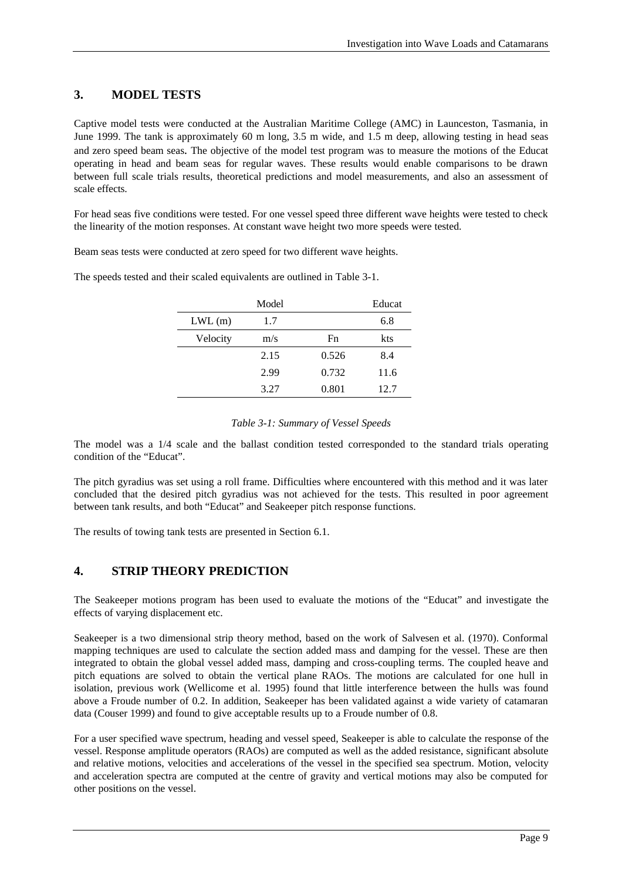### **3. MODEL TESTS**

Captive model tests were conducted at the Australian Maritime College (AMC) in Launceston, Tasmania, in June 1999. The tank is approximately 60 m long, 3.5 m wide, and 1.5 m deep, allowing testing in head seas and zero speed beam seas. The objective of the model test program was to measure the motions of the Educat operating in head and beam seas for regular waves. These results would enable comparisons to be drawn between full scale trials results, theoretical predictions and model measurements, and also an assessment of scale effects.

For head seas five conditions were tested. For one vessel speed three different wave heights were tested to check the linearity of the motion responses. At constant wave height two more speeds were tested.

Beam seas tests were conducted at zero speed for two different wave heights.

The speeds tested and their scaled equivalents are outlined in Table 3-1.

|           | Model |       | Educat |
|-----------|-------|-------|--------|
| $LWL$ (m) | 1.7   |       | 6.8    |
| Velocity  | m/s   | Fn    | kts    |
|           | 2.15  | 0.526 | 8.4    |
|           | 2.99  | 0.732 | 11.6   |
|           | 3.27  | 0.801 | 12.7   |

#### *Table 3-1: Summary of Vessel Speeds*

The model was a 1/4 scale and the ballast condition tested corresponded to the standard trials operating condition of the "Educat".

The pitch gyradius was set using a roll frame. Difficulties where encountered with this method and it was later concluded that the desired pitch gyradius was not achieved for the tests. This resulted in poor agreement between tank results, and both "Educat" and Seakeeper pitch response functions.

The results of towing tank tests are presented in Section 6.1.

## **4. STRIP THEORY PREDICTION**

The Seakeeper motions program has been used to evaluate the motions of the "Educat" and investigate the effects of varying displacement etc.

Seakeeper is a two dimensional strip theory method, based on the work of Salvesen et al. (1970). Conformal mapping techniques are used to calculate the section added mass and damping for the vessel. These are then integrated to obtain the global vessel added mass, damping and cross-coupling terms. The coupled heave and pitch equations are solved to obtain the vertical plane RAOs. The motions are calculated for one hull in isolation, previous work (Wellicome et al. 1995) found that little interference between the hulls was found above a Froude number of 0.2. In addition, Seakeeper has been validated against a wide variety of catamaran data (Couser 1999) and found to give acceptable results up to a Froude number of 0.8.

For a user specified wave spectrum, heading and vessel speed, Seakeeper is able to calculate the response of the vessel. Response amplitude operators (RAOs) are computed as well as the added resistance, significant absolute and relative motions, velocities and accelerations of the vessel in the specified sea spectrum. Motion, velocity and acceleration spectra are computed at the centre of gravity and vertical motions may also be computed for other positions on the vessel.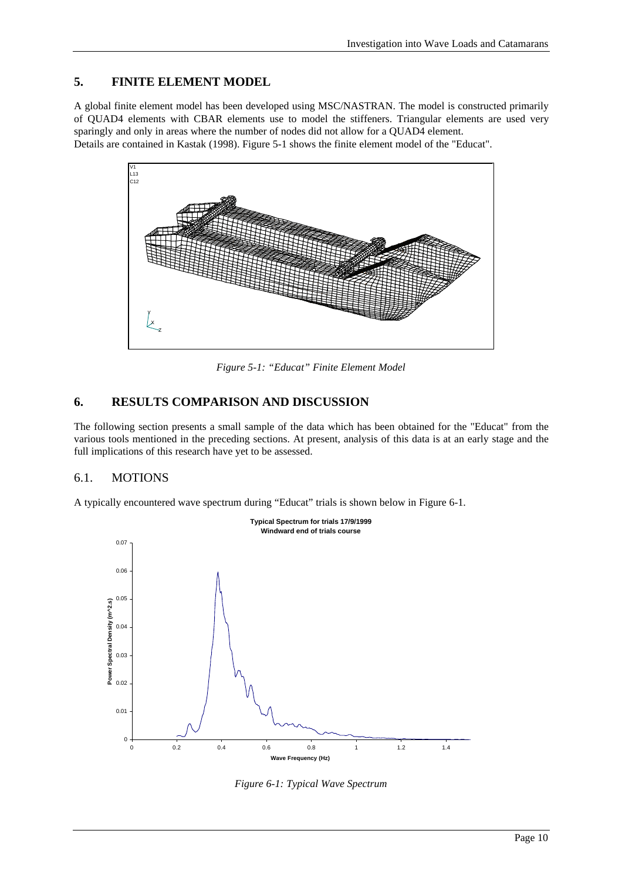### **5. FINITE ELEMENT MODEL**

A global finite element model has been developed using MSC/NASTRAN. The model is constructed primarily of QUAD4 elements with CBAR elements use to model the stiffeners. Triangular elements are used very sparingly and only in areas where the number of nodes did not allow for a QUAD4 element.

Details are contained in Kastak (1998). Figure 5-1 shows the finite element model of the "Educat".



*Figure 5-1: "Educat" Finite Element Model*

## **6. RESULTS COMPARISON AND DISCUSSION**

The following section presents a small sample of the data which has been obtained for the "Educat" from the various tools mentioned in the preceding sections. At present, analysis of this data is at an early stage and the full implications of this research have yet to be assessed.

### 6.1. MOTIONS

A typically encountered wave spectrum during "Educat" trials is shown below in Figure 6-1.



*Figure 6-1: Typical Wave Spectrum*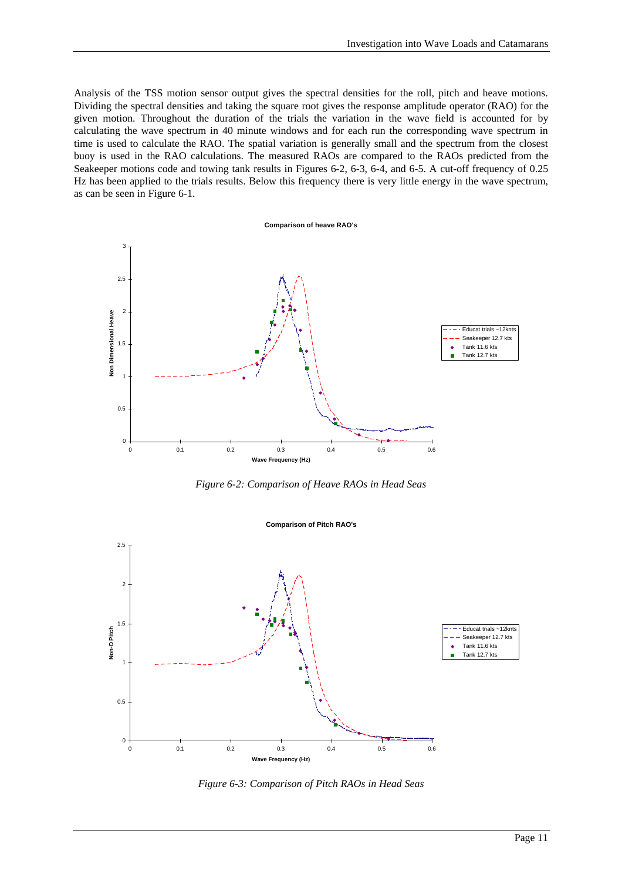Analysis of the TSS motion sensor output gives the spectral densities for the roll, pitch and heave motions. Dividing the spectral densities and taking the square root gives the response amplitude operator (RAO) for the given motion. Throughout the duration of the trials the variation in the wave field is accounted for by calculating the wave spectrum in 40 minute windows and for each run the corresponding wave spectrum in time is used to calculate the RAO. The spatial variation is generally small and the spectrum from the closest buoy is used in the RAO calculations. The measured RAOs are compared to the RAOs predicted from the Seakeeper motions code and towing tank results in Figures 6-2, 6-3, 6-4, and 6-5. A cut-off frequency of 0.25 Hz has been applied to the trials results. Below this frequency there is very little energy in the wave spectrum, as can be seen in Figure 6-1.



*Figure 6-2: Comparison of Heave RAOs in Head Seas*



*Figure 6-3: Comparison of Pitch RAOs in Head Seas*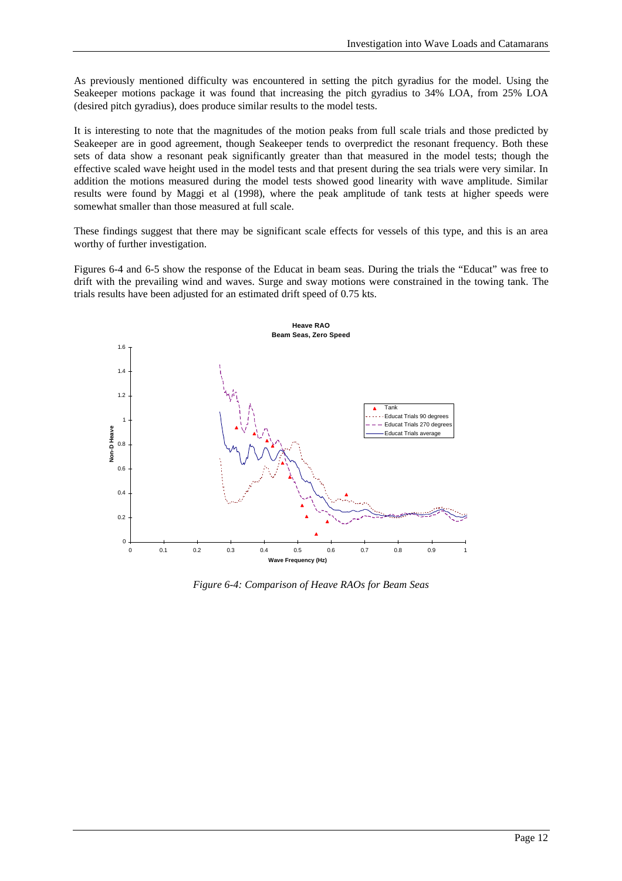As previously mentioned difficulty was encountered in setting the pitch gyradius for the model. Using the Seakeeper motions package it was found that increasing the pitch gyradius to 34% LOA, from 25% LOA (desired pitch gyradius), does produce similar results to the model tests.

It is interesting to note that the magnitudes of the motion peaks from full scale trials and those predicted by Seakeeper are in good agreement, though Seakeeper tends to overpredict the resonant frequency. Both these sets of data show a resonant peak significantly greater than that measured in the model tests; though the effective scaled wave height used in the model tests and that present during the sea trials were very similar. In addition the motions measured during the model tests showed good linearity with wave amplitude. Similar results were found by Maggi et al (1998), where the peak amplitude of tank tests at higher speeds were somewhat smaller than those measured at full scale.

These findings suggest that there may be significant scale effects for vessels of this type, and this is an area worthy of further investigation.

Figures 6-4 and 6-5 show the response of the Educat in beam seas. During the trials the "Educat" was free to drift with the prevailing wind and waves. Surge and sway motions were constrained in the towing tank. The trials results have been adjusted for an estimated drift speed of 0.75 kts.



*Figure 6-4: Comparison of Heave RAOs for Beam Seas*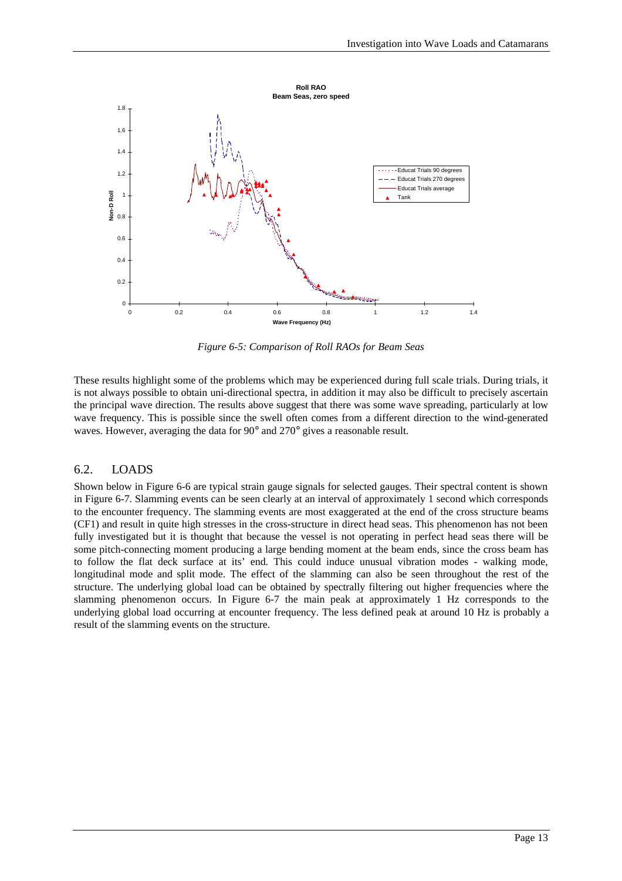

*Figure 6-5: Comparison of Roll RAOs for Beam Seas*

These results highlight some of the problems which may be experienced during full scale trials. During trials, it is not always possible to obtain uni-directional spectra, in addition it may also be difficult to precisely ascertain the principal wave direction. The results above suggest that there was some wave spreading, particularly at low wave frequency. This is possible since the swell often comes from a different direction to the wind-generated waves. However, averaging the data for 90° and 270° gives a reasonable result.

#### 6.2. LOADS

Shown below in Figure 6-6 are typical strain gauge signals for selected gauges. Their spectral content is shown in Figure 6-7. Slamming events can be seen clearly at an interval of approximately 1 second which corresponds to the encounter frequency. The slamming events are most exaggerated at the end of the cross structure beams (CF1) and result in quite high stresses in the cross-structure in direct head seas. This phenomenon has not been fully investigated but it is thought that because the vessel is not operating in perfect head seas there will be some pitch-connecting moment producing a large bending moment at the beam ends, since the cross beam has to follow the flat deck surface at its' end. This could induce unusual vibration modes - walking mode, longitudinal mode and split mode. The effect of the slamming can also be seen throughout the rest of the structure. The underlying global load can be obtained by spectrally filtering out higher frequencies where the slamming phenomenon occurs. In Figure 6-7 the main peak at approximately 1 Hz corresponds to the underlying global load occurring at encounter frequency. The less defined peak at around 10 Hz is probably a result of the slamming events on the structure.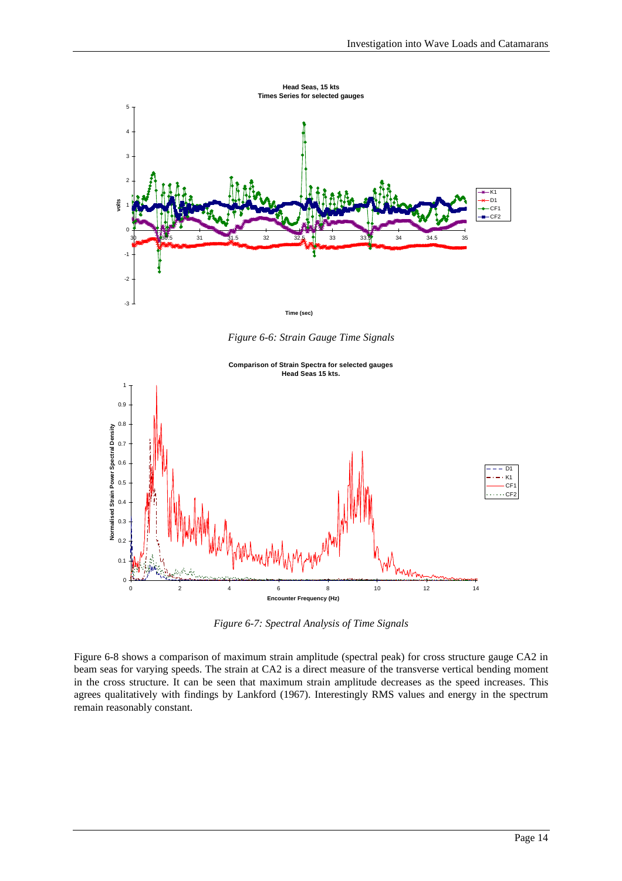

*Figure 6-6: Strain Gauge Time Signals*



*Figure 6-7: Spectral Analysis of Time Signals*

Figure 6-8 shows a comparison of maximum strain amplitude (spectral peak) for cross structure gauge CA2 in beam seas for varying speeds. The strain at CA2 is a direct measure of the transverse vertical bending moment in the cross structure. It can be seen that maximum strain amplitude decreases as the speed increases. This agrees qualitatively with findings by Lankford (1967). Interestingly RMS values and energy in the spectrum remain reasonably constant.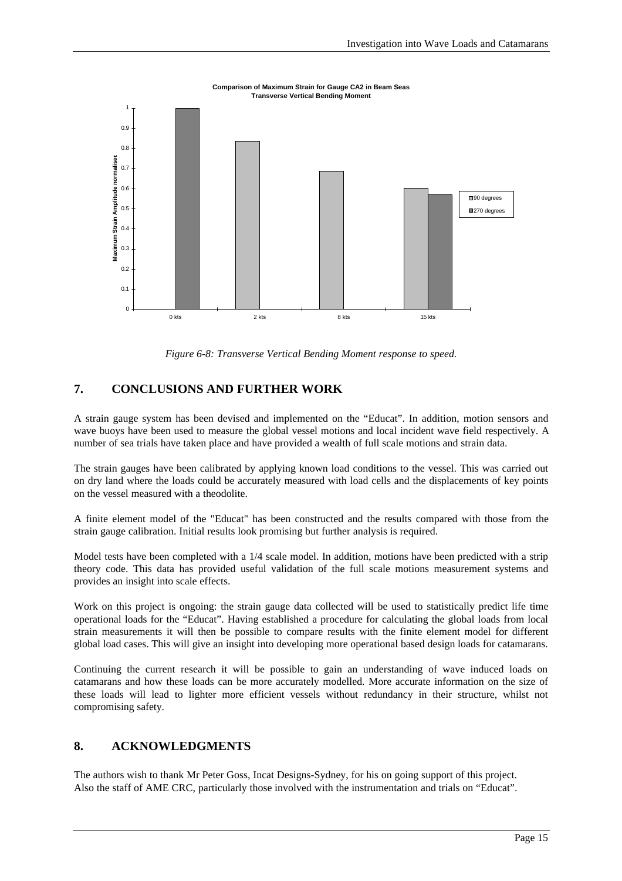

*Figure 6-8: Transverse Vertical Bending Moment response to speed.*

### **7. CONCLUSIONS AND FURTHER WORK**

A strain gauge system has been devised and implemented on the "Educat". In addition, motion sensors and wave buoys have been used to measure the global vessel motions and local incident wave field respectively. A number of sea trials have taken place and have provided a wealth of full scale motions and strain data.

The strain gauges have been calibrated by applying known load conditions to the vessel. This was carried out on dry land where the loads could be accurately measured with load cells and the displacements of key points on the vessel measured with a theodolite.

A finite element model of the "Educat" has been constructed and the results compared with those from the strain gauge calibration. Initial results look promising but further analysis is required.

Model tests have been completed with a 1/4 scale model. In addition, motions have been predicted with a strip theory code. This data has provided useful validation of the full scale motions measurement systems and provides an insight into scale effects.

Work on this project is ongoing: the strain gauge data collected will be used to statistically predict life time operational loads for the "Educat". Having established a procedure for calculating the global loads from local strain measurements it will then be possible to compare results with the finite element model for different global load cases. This will give an insight into developing more operational based design loads for catamarans.

Continuing the current research it will be possible to gain an understanding of wave induced loads on catamarans and how these loads can be more accurately modelled. More accurate information on the size of these loads will lead to lighter more efficient vessels without redundancy in their structure, whilst not compromising safety.

### **8. ACKNOWLEDGMENTS**

The authors wish to thank Mr Peter Goss, Incat Designs-Sydney, for his on going support of this project. Also the staff of AME CRC, particularly those involved with the instrumentation and trials on "Educat".